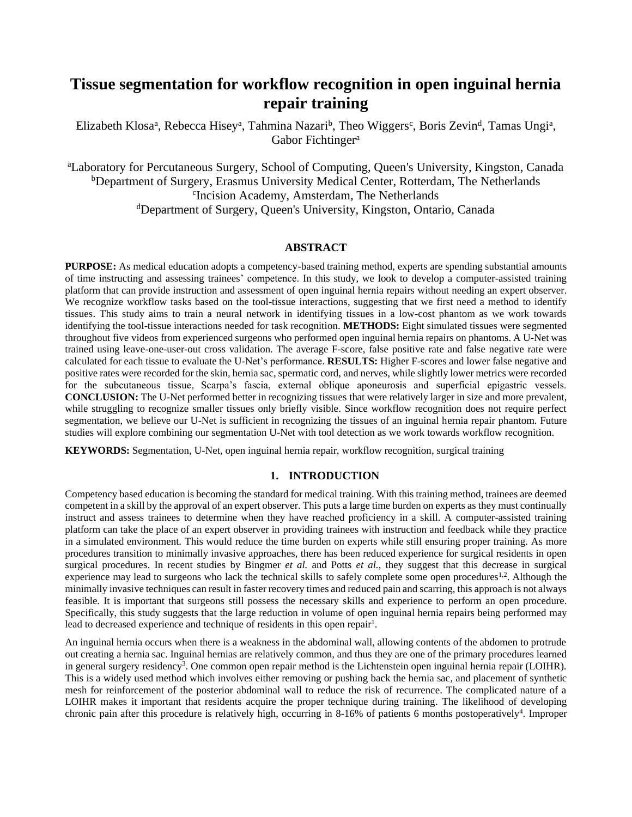# **Tissue segmentation for workflow recognition in open inguinal hernia repair training**

Elizabeth Klosa<sup>a</sup>, Rebecca Hisey<sup>a</sup>, Tahmina Nazari<sup>b</sup>, Theo Wiggers<sup>c</sup>, Boris Zevin<sup>d</sup>, Tamas Ungi<sup>a</sup>, Gabor Fichtinger<sup>a</sup>

<sup>a</sup>Laboratory for Percutaneous Surgery, School of Computing, Queen's University, Kingston, Canada <sup>b</sup>Department of Surgery, Erasmus University Medical Center, Rotterdam, The Netherlands c Incision Academy, Amsterdam, The Netherlands <sup>d</sup>Department of Surgery, Queen's University, Kingston, Ontario, Canada

#### **ABSTRACT**

**PURPOSE:** As medical education adopts a competency-based training method, experts are spending substantial amounts of time instructing and assessing trainees' competence. In this study, we look to develop a computer-assisted training platform that can provide instruction and assessment of open inguinal hernia repairs without needing an expert observer. We recognize workflow tasks based on the tool-tissue interactions, suggesting that we first need a method to identify tissues. This study aims to train a neural network in identifying tissues in a low-cost phantom as we work towards identifying the tool-tissue interactions needed for task recognition. **METHODS:** Eight simulated tissues were segmented throughout five videos from experienced surgeons who performed open inguinal hernia repairs on phantoms. A U-Net was trained using leave-one-user-out cross validation. The average F-score, false positive rate and false negative rate were calculated for each tissue to evaluate the U-Net's performance. **RESULTS:** Higher F-scores and lower false negative and positive rates were recorded for the skin, hernia sac, spermatic cord, and nerves, while slightly lower metrics were recorded for the subcutaneous tissue, Scarpa's fascia, external oblique aponeurosis and superficial epigastric vessels. **CONCLUSION:** The U-Net performed better in recognizing tissues that were relatively larger in size and more prevalent, while struggling to recognize smaller tissues only briefly visible. Since workflow recognition does not require perfect segmentation, we believe our U-Net is sufficient in recognizing the tissues of an inguinal hernia repair phantom. Future studies will explore combining our segmentation U-Net with tool detection as we work towards workflow recognition.

**KEYWORDS:** Segmentation, U-Net, open inguinal hernia repair, workflow recognition, surgical training

## **1. INTRODUCTION**

Competency based education is becoming the standard for medical training. With this training method, trainees are deemed competent in a skill by the approval of an expert observer. This puts a large time burden on experts as they must continually instruct and assess trainees to determine when they have reached proficiency in a skill. A computer-assisted training platform can take the place of an expert observer in providing trainees with instruction and feedback while they practice in a simulated environment. This would reduce the time burden on experts while still ensuring proper training. As more procedures transition to minimally invasive approaches, there has been reduced experience for surgical residents in open surgical procedures. In recent studies by Bingmer *et al.* and Potts *et al.*, they suggest that this decrease in surgical experience may lead to surgeons who lack the technical skills to safely complete some open procedures<sup>1,2</sup>. Although the minimally invasive techniques can result in faster recovery times and reduced pain and scarring,this approach is not always feasible. It is important that surgeons still possess the necessary skills and experience to perform an open procedure. Specifically, this study suggests that the large reduction in volume of open inguinal hernia repairs being performed may lead to decreased experience and technique of residents in this open repair<sup>1</sup>.

An inguinal hernia occurs when there is a weakness in the abdominal wall, allowing contents of the abdomen to protrude out creating a hernia sac. Inguinal hernias are relatively common, and thus they are one of the primary procedures learned in general surgery residency<sup>3</sup>. One common open repair method is the Lichtenstein open inguinal hernia repair (LOIHR). This is a widely used method which involves either removing or pushing back the hernia sac, and placement of synthetic mesh for reinforcement of the posterior abdominal wall to reduce the risk of recurrence. The complicated nature of a LOIHR makes it important that residents acquire the proper technique during training. The likelihood of developing chronic pain after this procedure is relatively high, occurring in 8-16% of patients 6 months postoperatively<sup>4</sup>. Improper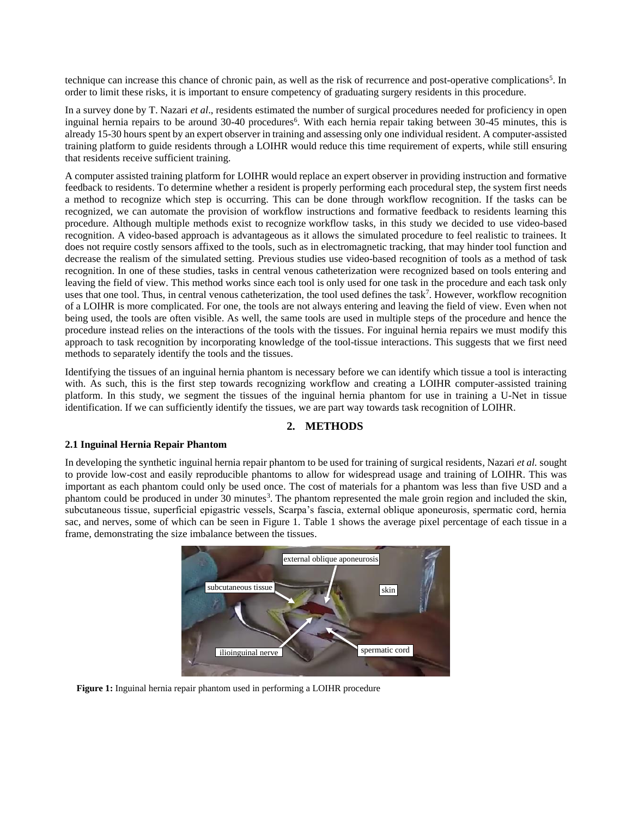technique can increase this chance of chronic pain, as well as the risk of recurrence and post-operative complications<sup>5</sup>. In order to limit these risks, it is important to ensure competency of graduating surgery residents in this procedure.

In a survey done by T. Nazari *et al*., residents estimated the number of surgical procedures needed for proficiency in open inguinal hernia repairs to be around 30-40 procedures<sup>6</sup>. With each hernia repair taking between 30-45 minutes, this is already 15-30 hours spent by an expert observer in training and assessing only one individual resident. A computer-assisted training platform to guide residents through a LOIHR would reduce this time requirement of experts, while still ensuring that residents receive sufficient training.

A computer assisted training platform for LOIHR would replace an expert observer in providing instruction and formative feedback to residents. To determine whether a resident is properly performing each procedural step, the system first needs a method to recognize which step is occurring. This can be done through workflow recognition. If the tasks can be recognized, we can automate the provision of workflow instructions and formative feedback to residents learning this procedure. Although multiple methods exist to recognize workflow tasks, in this study we decided to use video-based recognition. A video-based approach is advantageous as it allows the simulated procedure to feel realistic to trainees. It does not require costly sensors affixed to the tools, such as in electromagnetic tracking, that may hinder tool function and decrease the realism of the simulated setting. Previous studies use video-based recognition of tools as a method of task recognition. In one of these studies, tasks in central venous catheterization were recognized based on tools entering and leaving the field of view. This method works since each tool is only used for one task in the procedure and each task only uses that one tool. Thus, in central venous catheterization, the tool used defines the task<sup>7</sup>. However, workflow recognition of a LOIHR is more complicated. For one, the tools are not always entering and leaving the field of view. Even when not being used, the tools are often visible. As well, the same tools are used in multiple steps of the procedure and hence the procedure instead relies on the interactions of the tools with the tissues. For inguinal hernia repairs we must modify this approach to task recognition by incorporating knowledge of the tool-tissue interactions. This suggests that we first need methods to separately identify the tools and the tissues.

Identifying the tissues of an inguinal hernia phantom is necessary before we can identify which tissue a tool is interacting with. As such, this is the first step towards recognizing workflow and creating a LOIHR computer-assisted training platform. In this study, we segment the tissues of the inguinal hernia phantom for use in training a U-Net in tissue identification. If we can sufficiently identify the tissues, we are part way towards task recognition of LOIHR.

# **2. METHODS**

#### **2.1 Inguinal Hernia Repair Phantom**

In developing the synthetic inguinal hernia repair phantom to be used for training of surgical residents, Nazari *et al.* sought to provide low-cost and easily reproducible phantoms to allow for widespread usage and training of LOIHR. This was important as each phantom could only be used once. The cost of materials for a phantom was less than five USD and a phantom could be produced in under 30 minutes<sup>3</sup>. The phantom represented the male groin region and included the skin, subcutaneous tissue, superficial epigastric vessels, Scarpa's fascia, external oblique aponeurosis, spermatic cord, hernia sac, and nerves, some of which can be seen in Figure 1. Table 1 shows the average pixel percentage of each tissue in a frame, demonstrating the size imbalance between the tissues.



 **Figure 1:** Inguinal hernia repair phantom used in performing a LOIHR procedure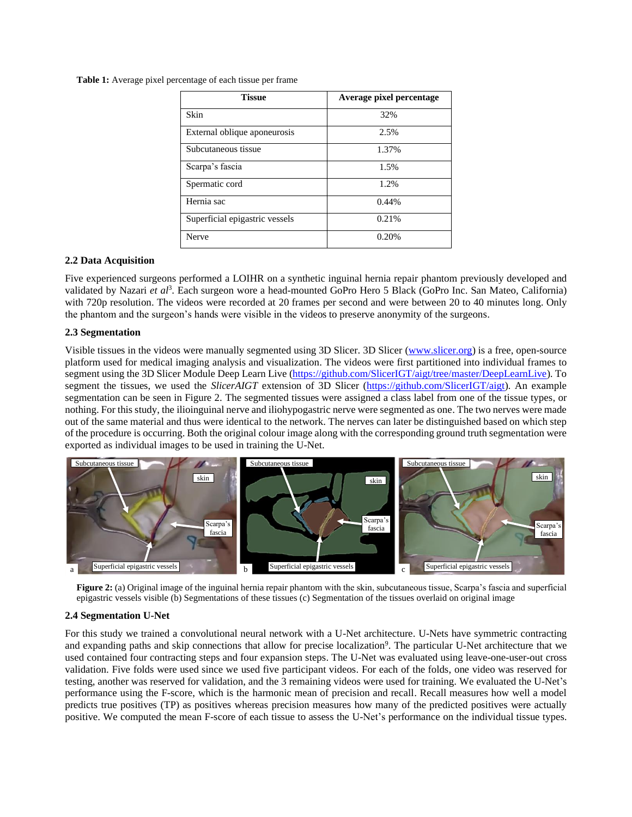**Table 1:** Average pixel percentage of each tissue per frame

| <b>Tissue</b>                  | Average pixel percentage |
|--------------------------------|--------------------------|
| Skin                           | 32%                      |
| External oblique aponeurosis   | 2.5%                     |
| Subcutaneous tissue            | 1.37%                    |
| Scarpa's fascia                | 1.5%                     |
| Spermatic cord                 | 1.2%                     |
| Hernia sac                     | 0.44%                    |
| Superficial epigastric vessels | 0.21%                    |
| Nerve                          | 0.20%                    |

#### **2.2 Data Acquisition**

Five experienced surgeons performed a LOIHR on a synthetic inguinal hernia repair phantom previously developed and validated by Nazari *et al*<sup>3</sup>. Each surgeon wore a head-mounted GoPro Hero 5 Black (GoPro Inc. San Mateo, California) with 720p resolution. The videos were recorded at 20 frames per second and were between 20 to 40 minutes long. Only the phantom and the surgeon's hands were visible in the videos to preserve anonymity of the surgeons.

#### **2.3 Segmentation**

Visible tissues in the videos were manually segmented using 3D Slicer. 3D Slicer [\(www.slicer.org\)](http://www.slicer.org/) is a free, open-source platform used for medical imaging analysis and visualization. The videos were first partitioned into individual frames to segment using the 3D Slicer Module Deep Learn Live [\(https://github.com/SlicerIGT/aigt/tree/master/DeepLearnLive\)](https://github.com/SlicerIGT/aigt/tree/master/DeepLearnLive). To segment the tissues, we used the *SlicerAIGT* extension of 3D Slicer [\(https://github.com/SlicerIGT/aigt\)](https://github.com/SlicerIGT/aigt). An example segmentation can be seen in Figure 2. The segmented tissues were assigned a class label from one of the tissue types, or nothing.For this study, the ilioinguinal nerve and iliohypogastric nerve were segmented as one. The two nerves were made out of the same material and thus were identical to the network. The nerves can later be distinguished based on which step of the procedure is occurring. Both the original colour image along with the corresponding ground truth segmentation were exported as individual images to be used in training the U-Net.



**Figure 2:** (a) Original image of the inguinal hernia repair phantom with the skin, subcutaneous tissue, Scarpa's fascia and superficial epigastric vessels visible (b) Segmentations of these tissues (c) Segmentation of the tissues overlaid on original image

#### **2.4 Segmentation U-Net**

For this study we trained a convolutional neural network with a U-Net architecture. U-Nets have symmetric contracting and expanding paths and skip connections that allow for precise localization<sup>9</sup>. The particular U-Net architecture that we used contained four contracting steps and four expansion steps. The U-Net was evaluated using leave-one-user-out cross validation. Five folds were used since we used five participant videos. For each of the folds, one video was reserved for testing, another was reserved for validation, and the 3 remaining videos were used for training. We evaluated the U-Net's performance using the F-score, which is the harmonic mean of precision and recall. Recall measures how well a model predicts true positives (TP) as positives whereas precision measures how many of the predicted positives were actually positive. We computed the mean F-score of each tissue to assess the U-Net's performance on the individual tissue types.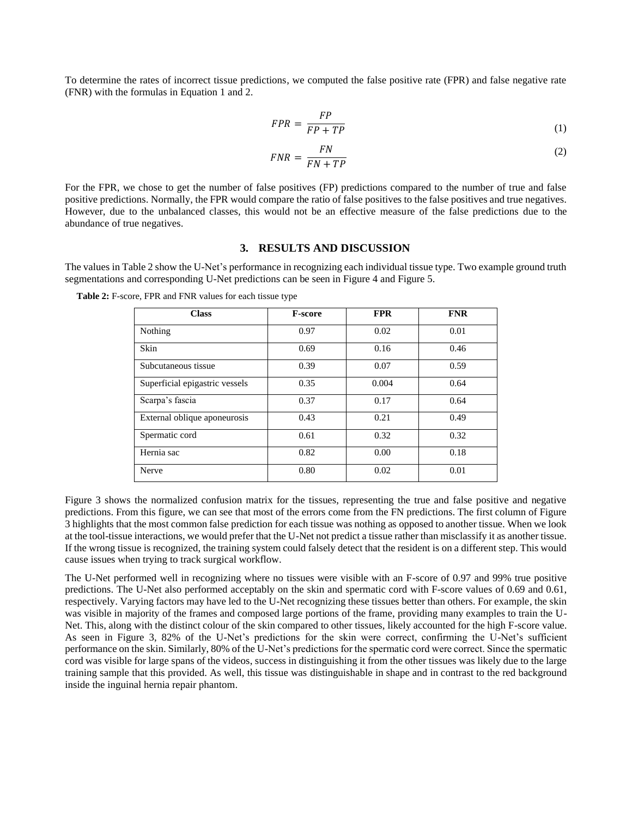To determine the rates of incorrect tissue predictions, we computed the false positive rate (FPR) and false negative rate (FNR) with the formulas in Equation 1 and 2.

$$
FPR = \frac{FP}{FP + TP}
$$
 (1)

$$
FNR = \frac{FN}{FN + TP}
$$
 (2)

For the FPR, we chose to get the number of false positives (FP) predictions compared to the number of true and false positive predictions. Normally, the FPR would compare the ratio of false positives to the false positives and true negatives. However, due to the unbalanced classes, this would not be an effective measure of the false predictions due to the abundance of true negatives.

#### **3. RESULTS AND DISCUSSION**

The values in Table 2 show the U-Net's performance in recognizing each individual tissue type. Two example ground truth segmentations and corresponding U-Net predictions can be seen in Figure 4 and Figure 5.

 **Table 2:** F-score, FPR and FNR values for each tissue type

| <b>Class</b>                   | <b>F-score</b> | <b>FPR</b> | <b>FNR</b> |
|--------------------------------|----------------|------------|------------|
| Nothing                        | 0.97           | 0.02       | 0.01       |
| Skin                           | 0.69           | 0.16       | 0.46       |
| Subcutaneous tissue            | 0.39           | 0.07       | 0.59       |
| Superficial epigastric vessels | 0.35           | 0.004      | 0.64       |
| Scarpa's fascia                | 0.37           | 0.17       | 0.64       |
| External oblique aponeurosis   | 0.43           | 0.21       | 0.49       |
| Spermatic cord                 | 0.61           | 0.32       | 0.32       |
| Hernia sac                     | 0.82           | 0.00       | 0.18       |
| Nerve                          | 0.80           | 0.02       | 0.01       |

Figure 3 shows the normalized confusion matrix for the tissues, representing the true and false positive and negative predictions. From this figure, we can see that most of the errors come from the FN predictions. The first column of Figure 3 highlights that the most common false prediction for each tissue was nothing as opposed to another tissue. When we look at the tool-tissue interactions, we would prefer that the U-Net not predict a tissue rather than misclassify it as another tissue. If the wrong tissue is recognized, the training system could falsely detect that the resident is on a different step. This would cause issues when trying to track surgical workflow.

The U-Net performed well in recognizing where no tissues were visible with an F-score of 0.97 and 99% true positive predictions. The U-Net also performed acceptably on the skin and spermatic cord with F-score values of 0.69 and 0.61, respectively. Varying factors may have led to the U-Net recognizing these tissues better than others. For example, the skin was visible in majority of the frames and composed large portions of the frame, providing many examples to train the U-Net. This, along with the distinct colour of the skin compared to other tissues, likely accounted for the high F-score value. As seen in Figure 3, 82% of the U-Net's predictions for the skin were correct, confirming the U-Net's sufficient performance on the skin. Similarly, 80% of the U-Net's predictions for the spermatic cord were correct. Since the spermatic cord was visible for large spans of the videos, success in distinguishing it from the other tissues was likely due to the large training sample that this provided. As well, this tissue was distinguishable in shape and in contrast to the red background inside the inguinal hernia repair phantom.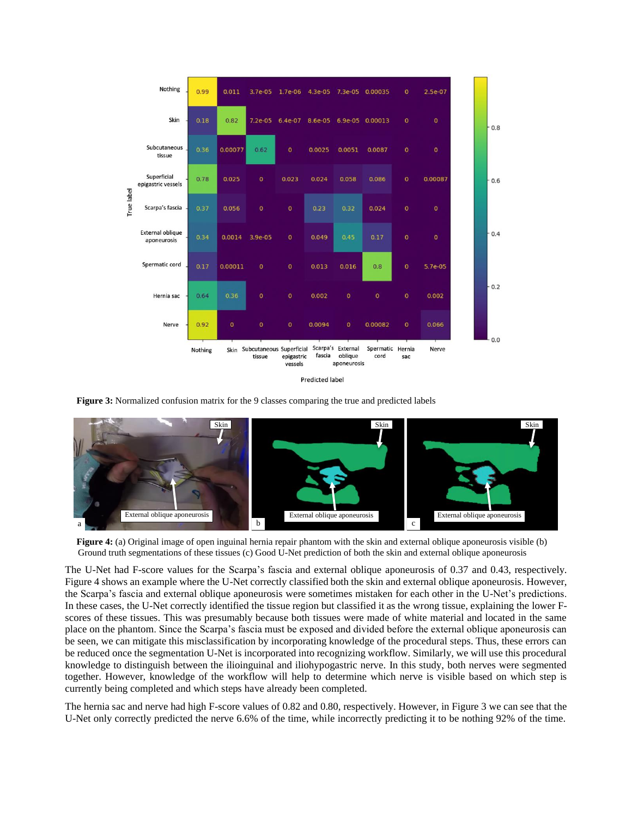

**Predicted label** 

 **Figure 3:** Normalized confusion matrix for the 9 classes comparing the true and predicted labels



**Figure 4:** (a) Original image of open inguinal hernia repair phantom with the skin and external oblique aponeurosis visible (b) Ground truth segmentations of these tissues (c) Good U-Net prediction of both the skin and external oblique aponeurosis

The U-Net had F-score values for the Scarpa's fascia and external oblique aponeurosis of 0.37 and 0.43, respectively. Figure 4 shows an example where the U-Net correctly classified both the skin and external oblique aponeurosis. However, the Scarpa's fascia and external oblique aponeurosis were sometimes mistaken for each other in the U-Net's predictions. In these cases, the U-Net correctly identified the tissue region but classified it as the wrong tissue, explaining the lower Fscores of these tissues. This was presumably because both tissues were made of white material and located in the same place on the phantom. Since the Scarpa's fascia must be exposed and divided before the external oblique aponeurosis can be seen, we can mitigate this misclassification by incorporating knowledge of the procedural steps. Thus, these errors can be reduced once the segmentation U-Net is incorporated into recognizing workflow. Similarly, we will use this procedural knowledge to distinguish between the ilioinguinal and iliohypogastric nerve. In this study, both nerves were segmented together. However, knowledge of the workflow will help to determine which nerve is visible based on which step is currently being completed and which steps have already been completed.

The hernia sac and nerve had high F-score values of 0.82 and 0.80, respectively. However, in Figure 3 we can see that the U-Net only correctly predicted the nerve 6.6% of the time, while incorrectly predicting it to be nothing 92% of the time.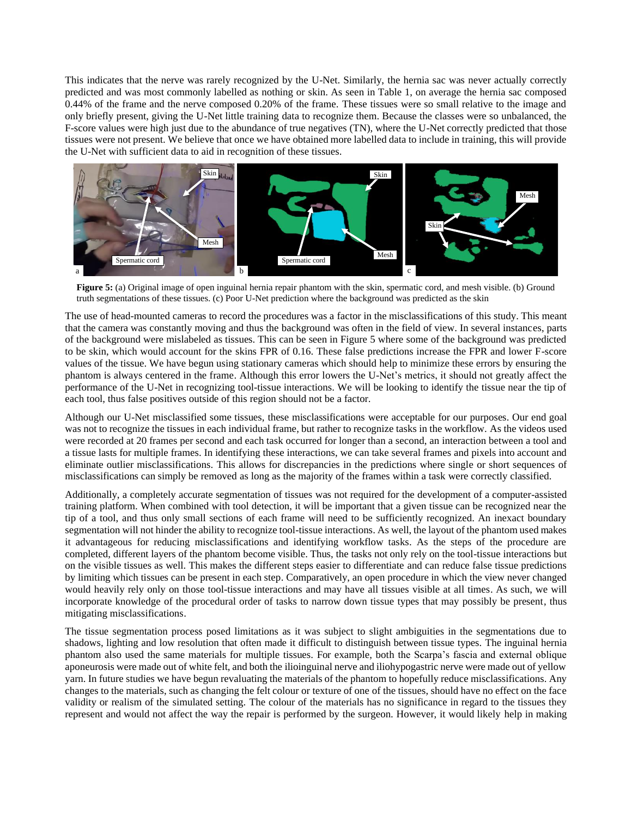This indicates that the nerve was rarely recognized by the U-Net. Similarly, the hernia sac was never actually correctly predicted and was most commonly labelled as nothing or skin. As seen in Table 1, on average the hernia sac composed 0.44% of the frame and the nerve composed 0.20% of the frame. These tissues were so small relative to the image and only briefly present, giving the U-Net little training data to recognize them. Because the classes were so unbalanced, the F-score values were high just due to the abundance of true negatives (TN), where the U-Net correctly predicted that those tissues were not present. We believe that once we have obtained more labelled data to include in training, this will provide the U-Net with sufficient data to aid in recognition of these tissues.



**Figure 5:** (a) Original image of open inguinal hernia repair phantom with the skin, spermatic cord, and mesh visible. (b) Ground truth segmentations of these tissues. (c) Poor U-Net prediction where the background was predicted as the skin

The use of head-mounted cameras to record the procedures was a factor in the misclassifications of this study. This meant that the camera was constantly moving and thus the background was often in the field of view. In several instances, parts of the background were mislabeled as tissues. This can be seen in Figure 5 where some of the background was predicted to be skin, which would account for the skins FPR of 0.16. These false predictions increase the FPR and lower F-score values of the tissue. We have begun using stationary cameras which should help to minimize these errors by ensuring the phantom is always centered in the frame. Although this error lowers the U-Net's metrics, it should not greatly affect the performance of the U-Net in recognizing tool-tissue interactions. We will be looking to identify the tissue near the tip of each tool, thus false positives outside of this region should not be a factor.

Although our U-Net misclassified some tissues, these misclassifications were acceptable for our purposes. Our end goal was not to recognize the tissues in each individual frame, but rather to recognize tasks in the workflow. As the videos used were recorded at 20 frames per second and each task occurred for longer than a second, an interaction between a tool and a tissue lasts for multiple frames. In identifying these interactions, we can take several frames and pixels into account and eliminate outlier misclassifications. This allows for discrepancies in the predictions where single or short sequences of misclassifications can simply be removed as long as the majority of the frames within a task were correctly classified.

Additionally, a completely accurate segmentation of tissues was not required for the development of a computer-assisted training platform. When combined with tool detection, it will be important that a given tissue can be recognized near the tip of a tool, and thus only small sections of each frame will need to be sufficiently recognized. An inexact boundary segmentation will not hinder the ability to recognize tool-tissue interactions. As well, the layout of the phantom used makes it advantageous for reducing misclassifications and identifying workflow tasks. As the steps of the procedure are completed, different layers of the phantom become visible. Thus, the tasks not only rely on the tool-tissue interactions but on the visible tissues as well. This makes the different steps easier to differentiate and can reduce false tissue predictions by limiting which tissues can be present in each step. Comparatively, an open procedure in which the view never changed would heavily rely only on those tool-tissue interactions and may have all tissues visible at all times. As such, we will incorporate knowledge of the procedural order of tasks to narrow down tissue types that may possibly be present, thus mitigating misclassifications.

The tissue segmentation process posed limitations as it was subject to slight ambiguities in the segmentations due to shadows, lighting and low resolution that often made it difficult to distinguish between tissue types. The inguinal hernia phantom also used the same materials for multiple tissues. For example, both the Scarpa's fascia and external oblique aponeurosis were made out of white felt, and both the ilioinguinal nerve and iliohypogastric nerve were made out of yellow yarn. In future studies we have begun revaluating the materials of the phantom to hopefully reduce misclassifications. Any changes to the materials, such as changing the felt colour or texture of one of the tissues, should have no effect on the face validity or realism of the simulated setting. The colour of the materials has no significance in regard to the tissues they represent and would not affect the way the repair is performed by the surgeon. However, it would likely help in making